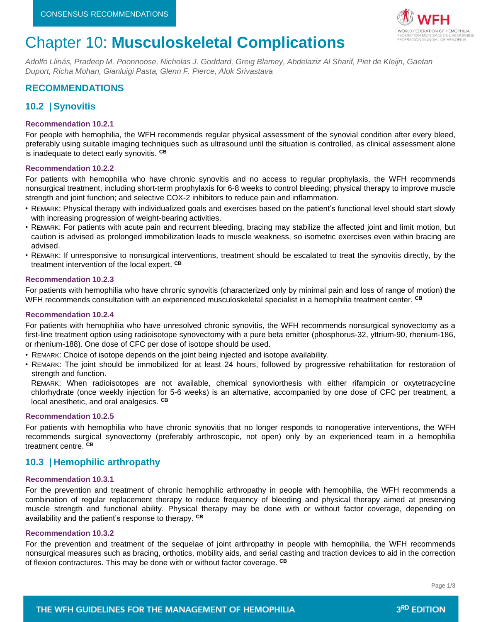

# Chapter 10: **Musculoskeletal Complications**

*Adolfo Llinás, Pradeep M. Poonnoose, Nicholas J. Goddard, Greig Blamey, Abdelaziz Al Sharif, Piet de Kleijn, Gaetan Duport, Richa Mohan, Gianluigi Pasta, Glenn F. Pierce, Alok Srivastava*

# **RECOMMENDATIONS**

# **10.2 | Synovitis**

## **Recommendation 10.2.1**

For people with hemophilia, the WFH recommends regular physical assessment of the synovial condition after every bleed, preferably using suitable imaging techniques such as ultrasound until the situation is controlled, as clinical assessment alone is inadequate to detect early synovitis. **CB**

## **Recommendation 10.2.2**

For patients with hemophilia who have chronic synovitis and no access to regular prophylaxis, the WFH recommends nonsurgical treatment, including short-term prophylaxis for 6-8 weeks to control bleeding; physical therapy to improve muscle strength and joint function; and selective COX-2 inhibitors to reduce pain and inflammation.

- REMARK: Physical therapy with individualized goals and exercises based on the patient's functional level should start slowly with increasing progression of weight-bearing activities.
- REMARK: For patients with acute pain and recurrent bleeding, bracing may stabilize the affected joint and limit motion, but caution is advised as prolonged immobilization leads to muscle weakness, so isometric exercises even within bracing are advised.
- REMARK: If unresponsive to nonsurgical interventions, treatment should be escalated to treat the synovitis directly, by the treatment intervention of the local expert. **CB**

## **Recommendation 10.2.3**

For patients with hemophilia who have chronic synovitis (characterized only by minimal pain and loss of range of motion) the WFH recommends consultation with an experienced musculoskeletal specialist in a hemophilia treatment center. **CB**

## **Recommendation 10.2.4**

For patients with hemophilia who have unresolved chronic synovitis, the WFH recommends nonsurgical synovectomy as a first-line treatment option using radioisotope synovectomy with a pure beta emitter (phosphorus-32, yttrium-90, rhenium-186, or rhenium-188). One dose of CFC per dose of isotope should be used.

- REMARK: Choice of isotope depends on the joint being injected and isotope availability.
- REMARK: The joint should be immobilized for at least 24 hours, followed by progressive rehabilitation for restoration of strength and function.

REMARK: When radioisotopes are not available, chemical synoviorthesis with either rifampicin or oxytetracycline chlorhydrate (once weekly injection for 5-6 weeks) is an alternative, accompanied by one dose of CFC per treatment, a local anesthetic, and oral analgesics. **CB**

#### **Recommendation 10.2.5**

For patients with hemophilia who have chronic synovitis that no longer responds to nonoperative interventions, the WFH recommends surgical synovectomy (preferably arthroscopic, not open) only by an experienced team in a hemophilia treatment centre. **CB**

# **10.3 | Hemophilic arthropathy**

## **Recommendation 10.3.1**

For the prevention and treatment of chronic hemophilic arthropathy in people with hemophilia, the WFH recommends a combination of regular replacement therapy to reduce frequency of bleeding and physical therapy aimed at preserving muscle strength and functional ability. Physical therapy may be done with or without factor coverage, depending on availability and the patient's response to therapy. **CB**

#### **Recommendation 10.3.2**

For the prevention and treatment of the sequelae of joint arthropathy in people with hemophilia, the WFH recommends nonsurgical measures such as bracing, orthotics, mobility aids, and serial casting and traction devices to aid in the correction of flexion contractures. This may be done with or without factor coverage. **CB**

Page 1/3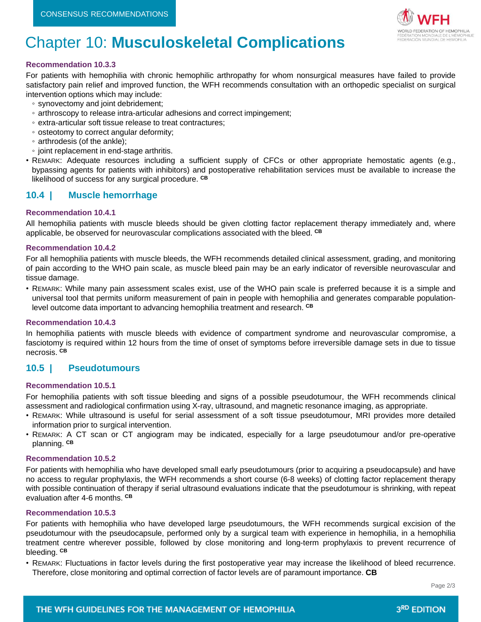

# Chapter 10: **Musculoskeletal Complications**

## **Recommendation 10.3.3**

For patients with hemophilia with chronic hemophilic arthropathy for whom nonsurgical measures have failed to provide satisfactory pain relief and improved function, the WFH recommends consultation with an orthopedic specialist on surgical intervention options which may include:

- synovectomy and joint debridement;
- arthroscopy to release intra-articular adhesions and correct impingement;
- extra-articular soft tissue release to treat contractures;
- osteotomy to correct angular deformity;
- arthrodesis (of the ankle);
- joint replacement in end-stage arthritis.
- REMARK: Adequate resources including a sufficient supply of CFCs or other appropriate hemostatic agents (e.g., bypassing agents for patients with inhibitors) and postoperative rehabilitation services must be available to increase the likelihood of success for any surgical procedure. **CB**

# **10.4 | Muscle hemorrhage**

## **Recommendation 10.4.1**

All hemophilia patients with muscle bleeds should be given clotting factor replacement therapy immediately and, where applicable, be observed for neurovascular complications associated with the bleed. **CB**

## **Recommendation 10.4.2**

For all hemophilia patients with muscle bleeds, the WFH recommends detailed clinical assessment, grading, and monitoring of pain according to the WHO pain scale, as muscle bleed pain may be an early indicator of reversible neurovascular and tissue damage.

• REMARK: While many pain assessment scales exist, use of the WHO pain scale is preferred because it is a simple and universal tool that permits uniform measurement of pain in people with hemophilia and generates comparable populationlevel outcome data important to advancing hemophilia treatment and research. **CB**

## **Recommendation 10.4.3**

In hemophilia patients with muscle bleeds with evidence of compartment syndrome and neurovascular compromise, a fasciotomy is required within 12 hours from the time of onset of symptoms before irreversible damage sets in due to tissue necrosis. **CB**

# **10.5 | Pseudotumours**

#### **Recommendation 10.5.1**

For hemophilia patients with soft tissue bleeding and signs of a possible pseudotumour, the WFH recommends clinical assessment and radiological confirmation using X-ray, ultrasound, and magnetic resonance imaging, as appropriate.

- REMARK: While ultrasound is useful for serial assessment of a soft tissue pseudotumour, MRI provides more detailed information prior to surgical intervention.
- REMARK: A CT scan or CT angiogram may be indicated, especially for a large pseudotumour and/or pre-operative planning. **CB**

#### **Recommendation 10.5.2**

For patients with hemophilia who have developed small early pseudotumours (prior to acquiring a pseudocapsule) and have no access to regular prophylaxis, the WFH recommends a short course (6-8 weeks) of clotting factor replacement therapy with possible continuation of therapy if serial ultrasound evaluations indicate that the pseudotumour is shrinking, with repeat evaluation after 4-6 months. **CB**

## **Recommendation 10.5.3**

For patients with hemophilia who have developed large pseudotumours, the WFH recommends surgical excision of the pseudotumour with the pseudocapsule, performed only by a surgical team with experience in hemophilia, in a hemophilia treatment centre wherever possible, followed by close monitoring and long-term prophylaxis to prevent recurrence of bleeding. **CB**

• REMARK: Fluctuations in factor levels during the first postoperative year may increase the likelihood of bleed recurrence. Therefore, close monitoring and optimal correction of factor levels are of paramount importance. **CB**

Page 2/3